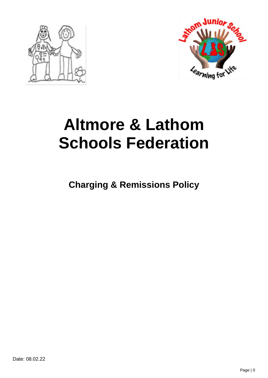



# **Altmore & Lathom Schools Federation**

**Charging & Remissions Policy**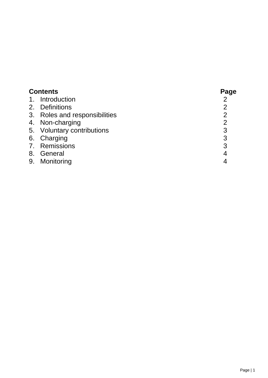| <b>Contents</b> |                               | Page           |
|-----------------|-------------------------------|----------------|
| $1_{\cdot}$     | Introduction                  |                |
|                 | 2. Definitions                | $\overline{2}$ |
|                 | 3. Roles and responsibilities | $\overline{2}$ |
|                 | 4. Non-charging               | $\overline{2}$ |
|                 | 5. Voluntary contributions    | 3              |
|                 | 6. Charging                   | 3              |
|                 | 7. Remissions                 | 3              |
| 8.              | General                       | 4              |
| 9.              | Monitoring                    | 4              |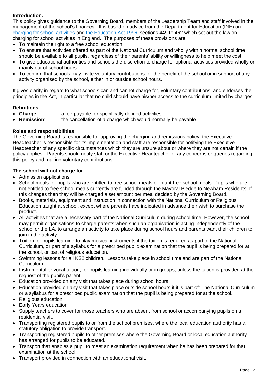# **Introduction:**

This policy gives guidance to the Governing Board, members of the Leadership Team and staff involved in the management of the school's finances. It is based on advice from the Department for Education (DfE) on [charging for school activities](https://www.gov.uk/government/publications/charging-for-school-activities) and [the Education Act 1996,](http://www.legislation.gov.uk/ukpga/1996/56/part/VI/chapter/III) sections 449 to 462 which set out the law on charging for school activities in England. The purposes of these provisions are:

- To maintain the right to a free school education.
- To ensure that activities offered as part of the National Curriculum and wholly within normal school time should be available to all pupils, regardless of their parents' ability or willingness to help meet the cost.
- To give educational authorities and schools the discretion to charge for optional activities provided wholly or mainly out of school hours.
- To confirm that schools may invite voluntary contributions for the benefit of the school or in support of any activity organised by the school, either in or outside school hours.

It gives clarity in regard to what schools can and cannot charge for, voluntary contributions, and endorses the principles in the Act, in particular that no child should have his/her access to the curriculum limited by charges.

# **Definitions**

- **Charge:** a fee payable for specifically defined activities
- **Remission**: the cancellation of a charge which would normally be payable

## **Roles and responsibilities**

The Governing Board is responsible for approving the charging and remissions policy, the Executive Headteacher is responsible for its implementation and staff are responsible for notifying the Executive Headteacher of any specific circumstances which they are unsure about or where they are not certain if the policy applies. Parents should notify staff or the Executive Headteacher of any concerns or queries regarding this policy and making voluntary contributions.

# **The school will not charge for**:

- Admission applications.
- School meals for pupils who are entitled to free school meals or infant free school meals. Pupils who are not entitled to free school meals currently are funded through the Mayoral Pledge to Newham Residents. If this changes then they will be charged a set amount per meal decided by the Governing Board.
- Books, materials, equipment and instruction in connection with the National Curriculum or Religious Education taught at school, except where parents have indicated in advance their wish to purchase the product.
- All activities that are a necessary part of the National Curriculum during school time. However, the school may permit organisations to charge parents when such an organisation is acting independently of the school or the LA, to arrange an activity to take place during school hours and parents want their children to join in the activity.
- Tuition for pupils learning to play musical instruments if the tuition is required as part of the National Curriculum, or part of a syllabus for a prescribed public examination that the pupil is being prepared for at the school, or part of religious education.
- Swimming lessons for all KS2 children. Lessons take place in school time and are part of the National Curriculum.
- Instrumental or vocal tuition, for pupils learning individually or in groups, unless the tuition is provided at the request of the pupil's parent.
- Education provided on any visit that takes place during school hours.
- Education provided on any visit that takes place outside school hours if it is part of: The National Curriculum or a syllabus for a prescribed public examination that the pupil is being prepared for at the school.
- Religious education.
- Early Years education.
- Supply teachers to cover for those teachers who are absent from school or accompanying pupils on a residential visit.
- Transporting registered pupils to or from the school premises, where the local education authority has a statutory obligation to provide transport.
- Transporting registered pupils to other premises where the Governing Board or local education authority has arranged for pupils to be educated.
- Transport that enables a pupil to meet an examination requirement when he has been prepared for that examination at the school.
- Transport provided in connection with an educational visit.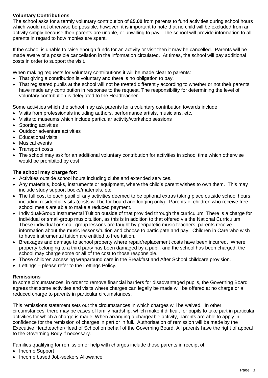# **Voluntary Contributions**

The school asks for a termly voluntary contribution of **£5.00** from parents to fund activities during school hours which would not otherwise be possible, however, it is important to note that no child will be excluded from an activity simply because their parents are unable, or unwilling to pay. The school will provide information to all parents in regard to how monies are spent.

If the school is unable to raise enough funds for an activity or visit then it may be cancelled. Parents will be made aware of a possible cancellation in the information circulated. At times, the school will pay additional costs in order to support the visit.

When making requests for voluntary contributions it will be made clear to parents:

- That giving a contribution is voluntary and there is no obligation to pay.
- That registered pupils at the school will not be treated differently according to whether or not their parents have made any contribution in response to the request. The responsibility for determining the level of voluntary contribution is delegated to the Headteacher.

Some activities which the school may ask parents for a voluntary contribution towards include:

- Visits from professionals including authors, performance artists, musicians, etc.
- Visits to museums which include particular activity/workshop sessions
- Sporting activities
- Outdoor adventure activities
- Educational visits
- Musical events
- Transport costs
- The school may ask for an additional voluntary contribution for activities in school time which otherwise would be prohibited by cost

# **The school may charge for:**

- Activities outside school hours including clubs and extended services.
- Any materials, books, instruments or equipment, where the child's parent wishes to own them. This may include study support books/materials, etc.
- The full cost to each pupil of any activities deemed to be optional extras taking place outside school hours, including residential visits (costs will be for board and lodging only). Parents of children who receive free school meals are able to make a reduced payment.
- Individual/Group Instrumental Tuition outside of that provided through the curriculum. There is a charge for individual or small-group music tuition, as this is in addition to that offered via the National Curriculum. These individual or small-group lessons are taught by peripatetic music teachers, parents receive information about the music lessons/tuition and choose to participate and pay. Children in Care who wish to have instrumental tuition are entitled to free tuition.
- Breakages and damage to school property where repair/replacement costs have been incurred. Where property belonging to a third party has been damaged by a pupil, and the school has been charged, the school may charge some or all of the cost to those responsible.
- Those children accessing wraparound care in the Breakfast and After School childcare provision.
- Lettings please refer to the Lettings Policy.

## **Remissions**

In some circumstances, in order to remove financial barriers for disadvantaged pupils, the Governing Board agrees that some activities and visits where charges can legally be made will be offered at no charge or a reduced charge to parents in particular circumstances.

This remissions statement sets out the circumstances in which charges will be waived. In other circumstances, there may be cases of family hardship, which make it difficult for pupils to take part in particular activities for which a charge is made. When arranging a chargeable activity, parents are able to apply in confidence for the remission of charges in part or in full. Authorisation of remission will be made by the Executive Headteacher/Head of School on behalf of the Governing Board. All parents have the right of appeal to the Governing Body if necessary.

Families qualifying for remission or help with charges include those parents in receipt of:

- Income Support
- Income based Job-seekers Allowance